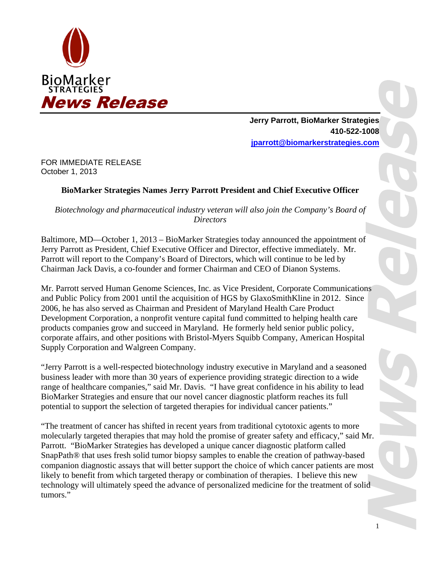

**Jerry Parrott, BioMarker Strategies 410-522-1008 jparrott@biomarkerstrategies.com** 

FOR IMMEDIATE RELEASE October 1, 2013

## **BioMarker Strategies Names Jerry Parrott President and Chief Executive Officer**

*Biotechnology and pharmaceutical industry veteran will also join the Company's Board of Directors* 

Baltimore, MD—October 1, 2013 – BioMarker Strategies today announced the appointment of Jerry Parrott as President, Chief Executive Officer and Director, effective immediately. Mr. Parrott will report to the Company's Board of Directors, which will continue to be led by Chairman Jack Davis, a co-founder and former Chairman and CEO of Dianon Systems.

Mr. Parrott served Human Genome Sciences, Inc. as Vice President, Corporate Communications and Public Policy from 2001 until the acquisition of HGS by GlaxoSmithKline in 2012. Since 2006, he has also served as Chairman and President of Maryland Health Care Product Development Corporation, a nonprofit venture capital fund committed to helping health care products companies grow and succeed in Maryland. He formerly held senior public policy, corporate affairs, and other positions with Bristol-Myers Squibb Company, American Hospital Supply Corporation and Walgreen Company.

"Jerry Parrott is a well-respected biotechnology industry executive in Maryland and a seasoned business leader with more than 30 years of experience providing strategic direction to a wide range of healthcare companies," said Mr. Davis. "I have great confidence in his ability to lead BioMarker Strategies and ensure that our novel cancer diagnostic platform reaches its full potential to support the selection of targeted therapies for individual cancer patients."

"The treatment of cancer has shifted in recent years from traditional cytotoxic agents to more molecularly targeted therapies that may hold the promise of greater safety and efficacy," said Mr. Parrott. "BioMarker Strategies has developed a unique cancer diagnostic platform called SnapPath® that uses fresh solid tumor biopsy samples to enable the creation of pathway-based companion diagnostic assays that will better support the choice of which cancer patients are most likely to benefit from which targeted therapy or combination of therapies. I believe this new technology will ultimately speed the advance of personalized medicine for the treatment of solid tumors."